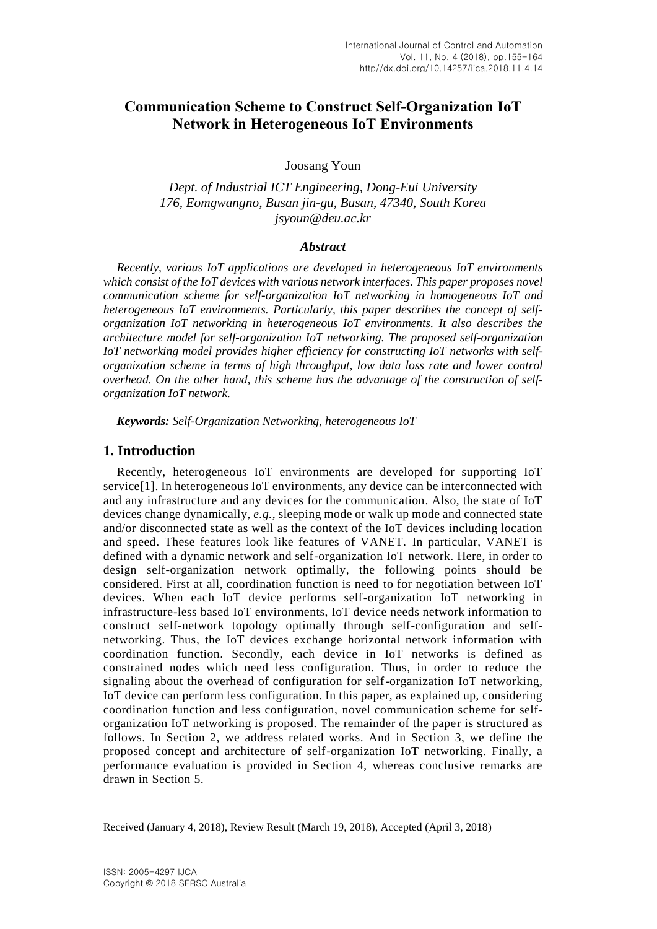# **Communication Scheme to Construct Self-Organization IoT Network in Heterogeneous IoT Environments**

Joosang Youn

*Dept. of Industrial ICT Engineering, Dong-Eui University 176, Eomgwangno, Busan jin-gu, Busan, 47340, South Korea jsyoun@deu.ac.kr*

#### *Abstract*

*Recently, various IoT applications are developed in heterogeneous IoT environments which consist of the IoT devices with various network interfaces. This paper proposes novel communication scheme for self-organization IoT networking in homogeneous IoT and heterogeneous IoT environments. Particularly, this paper describes the concept of selforganization IoT networking in heterogeneous IoT environments. It also describes the architecture model for self-organization IoT networking. The proposed self-organization*  IoT networking model provides higher efficiency for constructing IoT networks with self*organization scheme in terms of high throughput, low data loss rate and lower control overhead. On the other hand, this scheme has the advantage of the construction of selforganization IoT network.*

*Keywords: Self-Organization Networking, heterogeneous IoT*

### **1. Introduction**

Recently, heterogeneous IoT environments are developed for supporting IoT service[1]. In heterogeneous IoT environments, any device can be interconnected with and any infrastructure and any devices for the communication. Also, the state of IoT devices change dynamically, *e.g.*, sleeping mode or walk up mode and connected state and/or disconnected state as well as the context of the IoT devices including location and speed. These features look like features of VANET. In particular, VANET is defined with a dynamic network and self-organization IoT network. Here, in order to design self-organization network optimally, the following points should be considered. First at all, coordination function is need to for negotiation between IoT devices. When each IoT device performs self-organization IoT networking in infrastructure-less based IoT environments, IoT device needs network information to construct self-network topology optimally through self-configuration and selfnetworking. Thus, the IoT devices exchange horizontal network information with coordination function. Secondly, each device in IoT networks is defined as constrained nodes which need less configuration. Thus, in order to reduce the signaling about the overhead of configuration for self-organization IoT networking, IoT device can perform less configuration. In this paper, as explained up, considering coordination function and less configuration, novel communication scheme for selforganization IoT networking is proposed. The remainder of the paper is structured as follows. In Section 2, we address related works. And in Section 3, we define the proposed concept and architecture of self-organization IoT networking. Finally, a performance evaluation is provided in Section 4, whereas conclusive remarks are drawn in Section 5.

l

Received (January 4, 2018), Review Result (March 19, 2018), Accepted (April 3, 2018)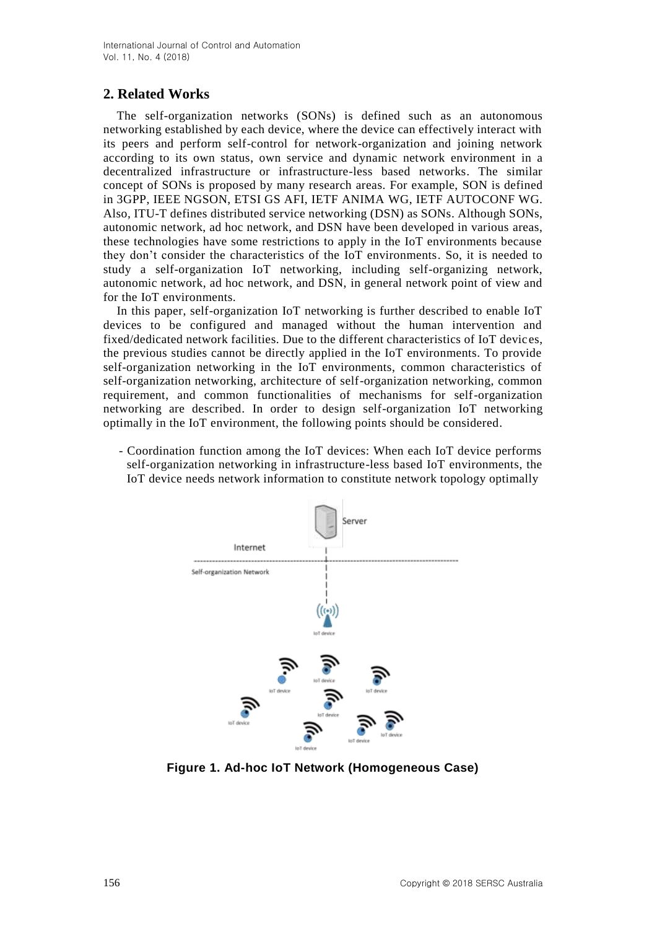# **2. Related Works**

The self-organization networks (SONs) is defined such as an autonomous networking established by each device, where the device can effectively interact with its peers and perform self-control for network-organization and joining network according to its own status, own service and dynamic network environment in a decentralized infrastructure or infrastructure-less based networks. The similar concept of SONs is proposed by many research areas. For example, SON is defined in 3GPP, IEEE NGSON, ETSI GS AFI, IETF ANIMA WG, IETF AUTOCONF WG. Also, ITU-T defines distributed service networking (DSN) as SONs. Although SONs, autonomic network, ad hoc network, and DSN have been developed in various areas, these technologies have some restrictions to apply in the IoT environments because they don't consider the characteristics of the IoT environments. So, it is needed to study a self-organization IoT networking, including self-organizing network, autonomic network, ad hoc network, and DSN, in general network point of view and for the IoT environments.

In this paper, self-organization IoT networking is further described to enable IoT devices to be configured and managed without the human intervention and fixed/dedicated network facilities. Due to the different characteristics of IoT devic es, the previous studies cannot be directly applied in the IoT environments. To provide self-organization networking in the IoT environments, common characteristics of self-organization networking, architecture of self-organization networking, common requirement, and common functionalities of mechanisms for self-organization networking are described. In order to design self-organization IoT networking optimally in the IoT environment, the following points should be considered.

- Coordination function among the IoT devices: When each IoT device performs self-organization networking in infrastructure-less based IoT environments, the IoT device needs network information to constitute network topology optimally



**Figure 1. Ad-hoc IoT Network (Homogeneous Case)**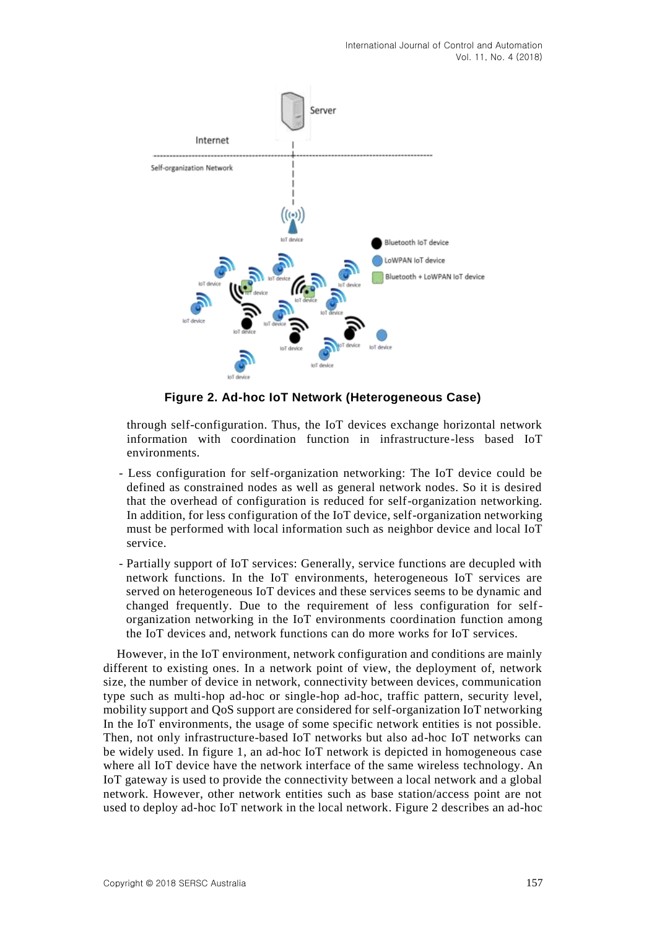

**Figure 2. Ad-hoc IoT Network (Heterogeneous Case)**

through self-configuration. Thus, the IoT devices exchange horizontal network information with coordination function in infrastructure-less based IoT environments.

- Less configuration for self-organization networking: The IoT device could be defined as constrained nodes as well as general network nodes. So it is desired that the overhead of configuration is reduced for self-organization networking. In addition, for less configuration of the IoT device, self-organization networking must be performed with local information such as neighbor device and local IoT service.
- Partially support of IoT services: Generally, service functions are decupled with network functions. In the IoT environments, heterogeneous IoT services are served on heterogeneous IoT devices and these services seems to be dynamic and changed frequently. Due to the requirement of less configuration for selforganization networking in the IoT environments coordination function among the IoT devices and, network functions can do more works for IoT services.

However, in the IoT environment, network configuration and conditions are mainly different to existing ones. In a network point of view, the deployment of, network size, the number of device in network, connectivity between devices, communication type such as multi-hop ad-hoc or single-hop ad-hoc, traffic pattern, security level, mobility support and QoS support are considered for self-organization IoT networking In the IoT environments, the usage of some specific network entities is not possible. Then, not only infrastructure-based IoT networks but also ad-hoc IoT networks can be widely used. In figure 1, an ad-hoc IoT network is depicted in homogeneous case where all IoT device have the network interface of the same wireless technology. An IoT gateway is used to provide the connectivity between a local network and a global network. However, other network entities such as base station/access point are not used to deploy ad-hoc IoT network in the local network. Figure 2 describes an ad-hoc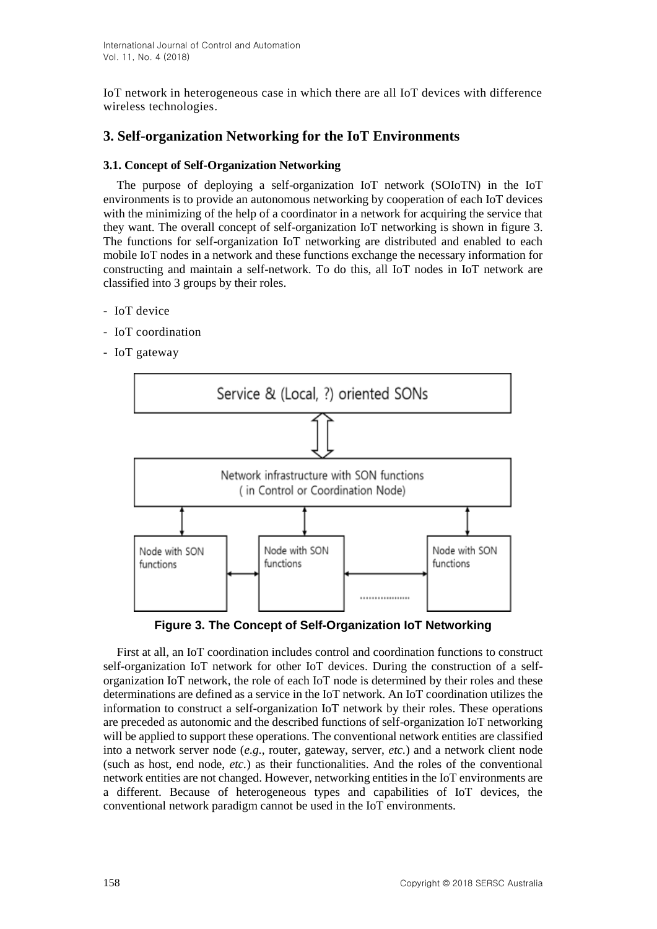IoT network in heterogeneous case in which there are all IoT devices with difference wireless technologies.

# **3. Self-organization Networking for the IoT Environments**

#### **3.1. Concept of Self-Organization Networking**

The purpose of deploying a self-organization IoT network (SOIoTN) in the IoT environments is to provide an autonomous networking by cooperation of each IoT devices with the minimizing of the help of a coordinator in a network for acquiring the service that they want. The overall concept of self-organization IoT networking is shown in figure 3. The functions for self-organization IoT networking are distributed and enabled to each mobile IoT nodes in a network and these functions exchange the necessary information for constructing and maintain a self-network. To do this, all IoT nodes in IoT network are classified into 3 groups by their roles.

- IoT device
- IoT coordination
- IoT gateway



**Figure 3. The Concept of Self-Organization IoT Networking**

First at all, an IoT coordination includes control and coordination functions to construct self-organization IoT network for other IoT devices. During the construction of a selforganization IoT network, the role of each IoT node is determined by their roles and these determinations are defined as a service in the IoT network. An IoT coordination utilizes the information to construct a self-organization IoT network by their roles. These operations are preceded as autonomic and the described functions of self-organization IoT networking will be applied to support these operations. The conventional network entities are classified into a network server node (*e.g.*, router, gateway, server, *etc.*) and a network client node (such as host, end node, *etc.*) as their functionalities. And the roles of the conventional network entities are not changed. However, networking entities in the IoT environments are a different. Because of heterogeneous types and capabilities of IoT devices, the conventional network paradigm cannot be used in the IoT environments.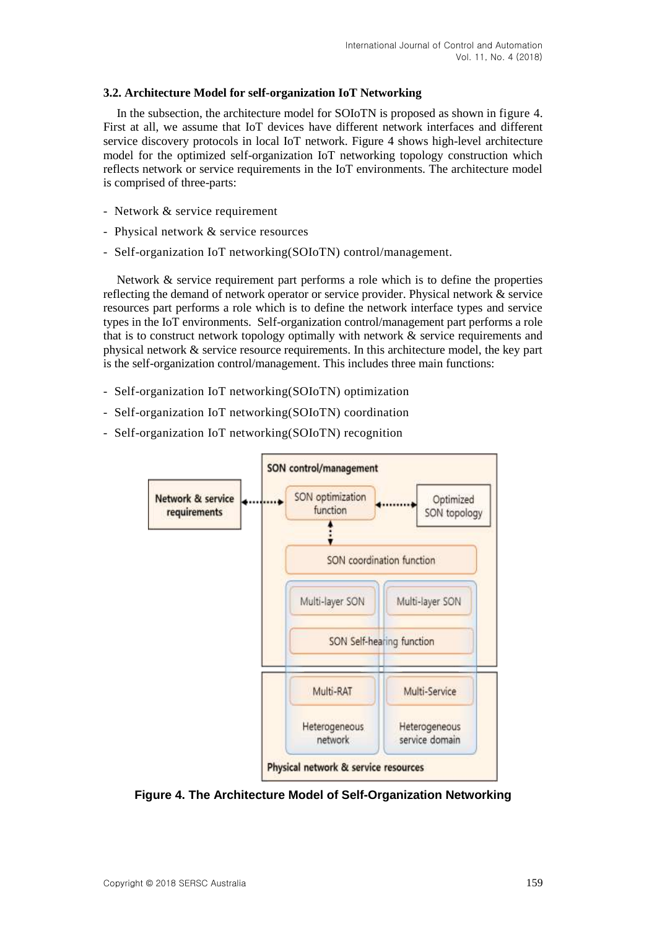#### **3.2. Architecture Model for self-organization IoT Networking**

In the subsection, the architecture model for SOIoTN is proposed as shown in figure 4. First at all, we assume that IoT devices have different network interfaces and different service discovery protocols in local IoT network. Figure 4 shows high-level architecture model for the optimized self-organization IoT networking topology construction which reflects network or service requirements in the IoT environments. The architecture model is comprised of three-parts:

- Network & service requirement
- Physical network & service resources
- Self-organization IoT networking(SOIoTN) control/management.

Network & service requirement part performs a role which is to define the properties reflecting the demand of network operator or service provider. Physical network & service resources part performs a role which is to define the network interface types and service types in the IoT environments. Self-organization control/management part performs a role that is to construct network topology optimally with network & service requirements and physical network & service resource requirements. In this architecture model, the key part is the self-organization control/management. This includes three main functions:

- Self-organization IoT networking(SOIoTN) optimization
- Self-organization IoT networking(SOIoTN) coordination
- Self-organization IoT networking(SOIoTN) recognition



**Figure 4. The Architecture Model of Self-Organization Networking**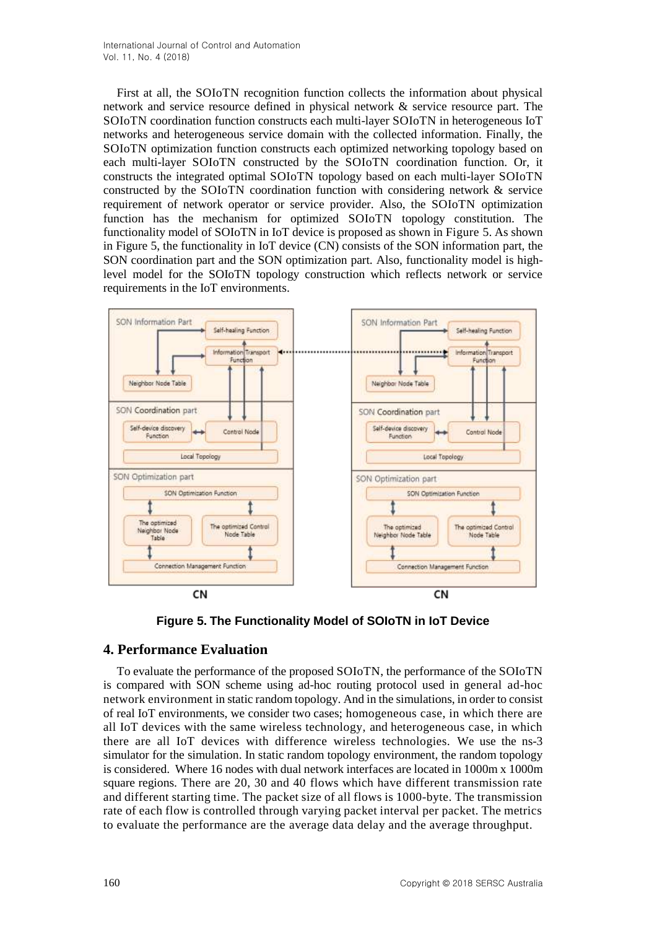First at all, the SOIoTN recognition function collects the information about physical network and service resource defined in physical network & service resource part. The SOIoTN coordination function constructs each multi-layer SOIoTN in heterogeneous IoT networks and heterogeneous service domain with the collected information. Finally, the SOIoTN optimization function constructs each optimized networking topology based on each multi-layer SOIoTN constructed by the SOIoTN coordination function. Or, it constructs the integrated optimal SOIoTN topology based on each multi-layer SOIoTN constructed by the SOIoTN coordination function with considering network & service requirement of network operator or service provider. Also, the SOIoTN optimization function has the mechanism for optimized SOIoTN topology constitution. The functionality model of SOIoTN in IoT device is proposed as shown in Figure 5. As shown in Figure 5, the functionality in IoT device (CN) consists of the SON information part, the SON coordination part and the SON optimization part. Also, functionality model is highlevel model for the SOIoTN topology construction which reflects network or service requirements in the IoT environments.



**Figure 5. The Functionality Model of SOIoTN in IoT Device**

# **4. Performance Evaluation**

To evaluate the performance of the proposed SOIoTN, the performance of the SOIoTN is compared with SON scheme using ad-hoc routing protocol used in general ad-hoc network environment in static random topology. And in the simulations, in order to consist of real IoT environments, we consider two cases; homogeneous case, in which there are all IoT devices with the same wireless technology, and heterogeneous case, in which there are all IoT devices with difference wireless technologies. We use the ns-3 simulator for the simulation. In static random topology environment, the random topology is considered. Where 16 nodes with dual network interfaces are located in 1000m x 1000m square regions. There are 20, 30 and 40 flows which have different transmission rate and different starting time. The packet size of all flows is 1000-byte. The transmission rate of each flow is controlled through varying packet interval per packet. The metrics to evaluate the performance are the average data delay and the average throughput.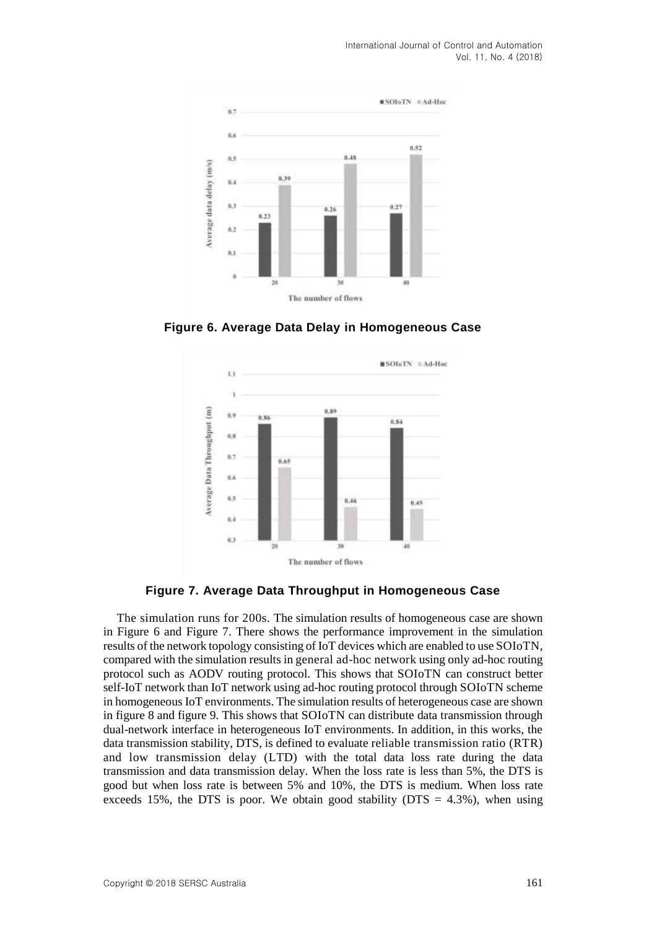International Journal of Control and Automation Vol. 11, No. 4 (2018)



**Figure 6. Average Data Delay in Homogeneous Case**



**Figure 7. Average Data Throughput in Homogeneous Case**

The simulation runs for 200s. The simulation results of homogeneous case are shown in Figure 6 and Figure 7. There shows the performance improvement in the simulation results of the network topology consisting of IoT devices which are enabled to use SOIoTN, compared with the simulation results in general ad-hoc network using only ad-hoc routing protocol such as AODV routing protocol. This shows that SOIoTN can construct better self-IoT network than IoT network using ad-hoc routing protocol through SOIoTN scheme in homogeneous IoT environments. The simulation results of heterogeneous case are shown in figure 8 and figure 9. This shows that SOIoTN can distribute data transmission through dual-network interface in heterogeneous IoT environments. In addition, in this works, the data transmission stability, DTS, is defined to evaluate reliable transmission ratio (RTR) and low transmission delay (LTD) with the total data loss rate during the data transmission and data transmission delay. When the loss rate is less than 5%, the DTS is good but when loss rate is between 5% and 10%, the DTS is medium. When loss rate exceeds 15%, the DTS is poor. We obtain good stability ( $DTS = 4.3\%$ ), when using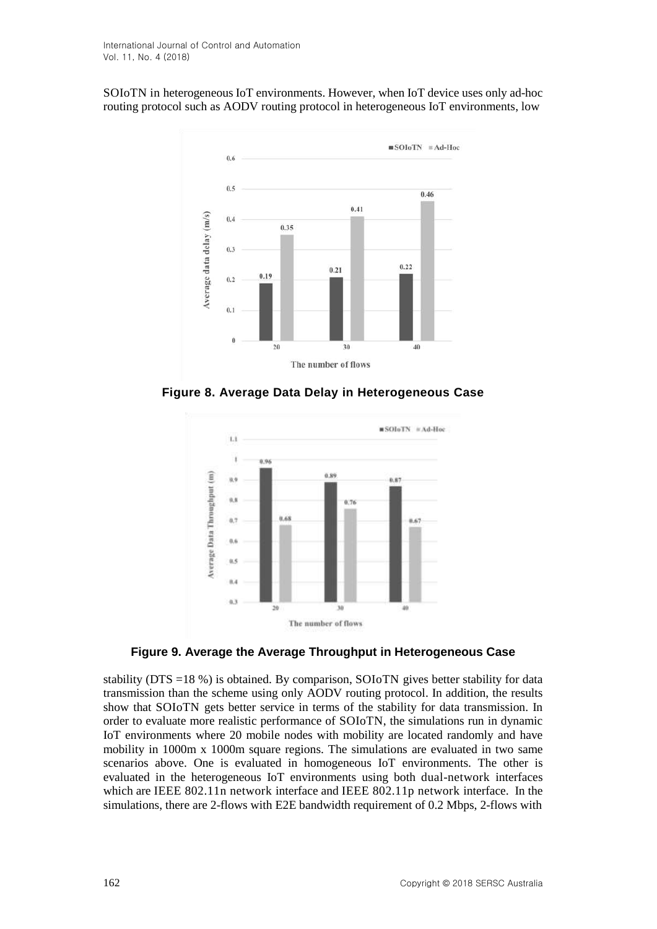SOIoTN in heterogeneous IoT environments. However, when IoT device uses only ad-hoc routing protocol such as AODV routing protocol in heterogeneous IoT environments, low



**Figure 8. Average Data Delay in Heterogeneous Case**



**Figure 9. Average the Average Throughput in Heterogeneous Case**

stability (DTS =18 %) is obtained. By comparison, SOIoTN gives better stability for data transmission than the scheme using only AODV routing protocol. In addition, the results show that SOIoTN gets better service in terms of the stability for data transmission. In order to evaluate more realistic performance of SOIoTN, the simulations run in dynamic IoT environments where 20 mobile nodes with mobility are located randomly and have mobility in 1000m x 1000m square regions. The simulations are evaluated in two same scenarios above. One is evaluated in homogeneous IoT environments. The other is evaluated in the heterogeneous IoT environments using both dual-network interfaces which are IEEE 802.11n network interface and IEEE 802.11p network interface. In the simulations, there are 2-flows with E2E bandwidth requirement of 0.2 Mbps, 2-flows with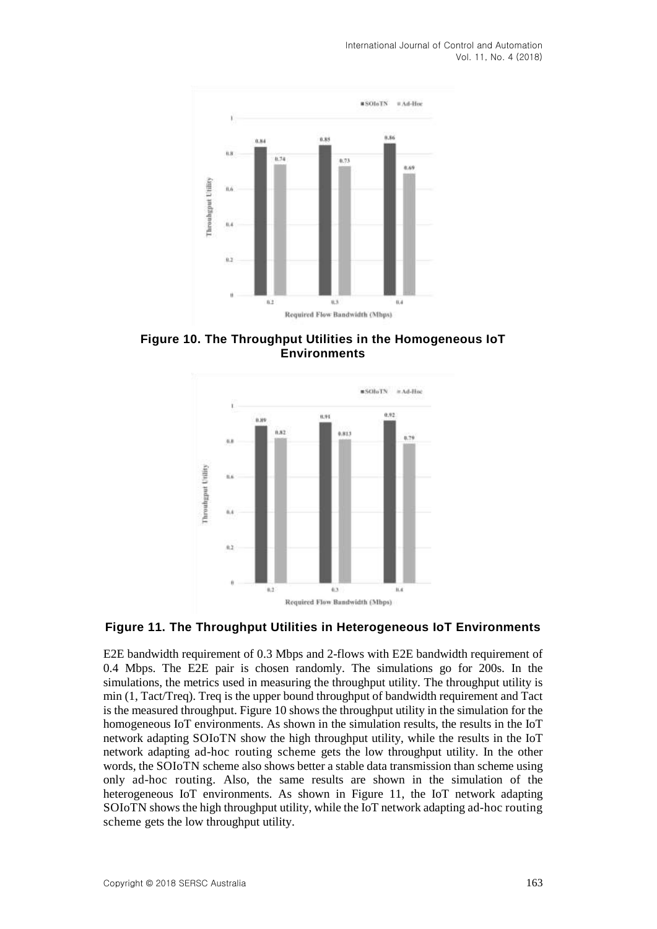International Journal of Control and Automation Vol. 11, No. 4 (2018)



**Figure 10. The Throughput Utilities in the Homogeneous IoT Environments**



#### **Figure 11. The Throughput Utilities in Heterogeneous IoT Environments**

E2E bandwidth requirement of 0.3 Mbps and 2-flows with E2E bandwidth requirement of 0.4 Mbps. The E2E pair is chosen randomly. The simulations go for 200s. In the simulations, the metrics used in measuring the throughput utility. The throughput utility is min (1, Tact/Treq). Treq is the upper bound throughput of bandwidth requirement and Tact is the measured throughput. Figure 10 shows the throughput utility in the simulation for the homogeneous IoT environments. As shown in the simulation results, the results in the IoT network adapting SOIoTN show the high throughput utility, while the results in the IoT network adapting ad-hoc routing scheme gets the low throughput utility. In the other words, the SOIoTN scheme also shows better a stable data transmission than scheme using only ad-hoc routing. Also, the same results are shown in the simulation of the heterogeneous IoT environments. As shown in Figure 11, the IoT network adapting SOIoTN shows the high throughput utility, while the IoT network adapting ad-hoc routing scheme gets the low throughput utility.